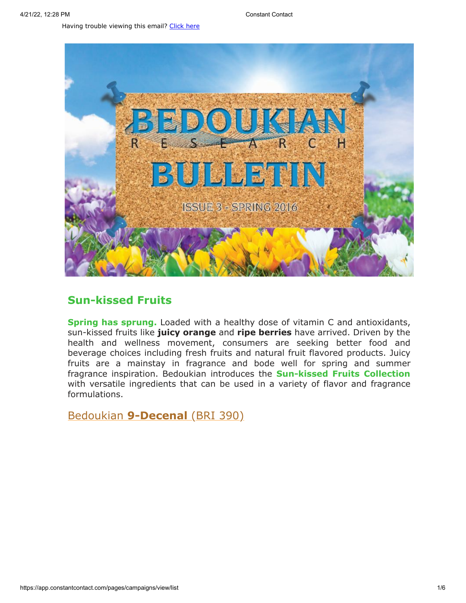Having trouble viewing this email? [Click](http://campaign.r20.constantcontact.com/render?preview=true&m=1119604276206&ca=4429c343-3951-4879-a909-72a3d3ac3caf&id=preview) here



# **Sun-kissed Fruits**

**Spring has sprung.** Loaded with a healthy dose of vitamin C and antioxidants, sun-kissed fruits like **juicy orange** and **ripe berries** have arrived. Driven by the health and wellness movement, consumers are seeking better food and beverage choices including fresh fruits and natural fruit flavored products. Juicy fruits are a mainstay in fragrance and bode well for spring and summer fragrance inspiration. Bedoukian introduces the **Sun-kissed Fruits Collection** with versatile ingredients that can be used in a variety of flavor and fragrance formulations.

Bedoukian **[9-Decenal](http://search.bedoukian.com/flavorfragrance/ff_product.asp?method=POP&id=390)** (BRI 390)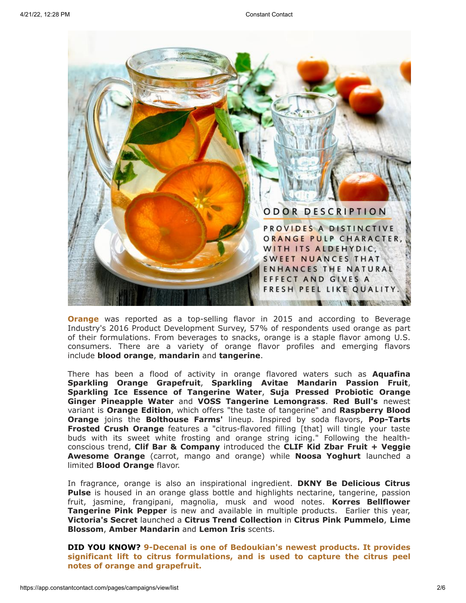

**Orange** was reported as a top-selling flavor in 2015 and according to Beverage Industry's 2016 Product Development Survey, 57% of respondents used orange as part of their formulations. From beverages to snacks, orange is a staple flavor among U.S. consumers. There are a variety of orange flavor profiles and emerging flavors include **blood orange**, **mandarin** and **tangerine**.

There has been a flood of activity in orange flavored waters such as **Aquafina Sparkling Orange Grapefruit**, **Sparkling Avitae Mandarin Passion Fruit**, **Sparkling Ice Essence of Tangerine Water**, **Suja Pressed Probiotic Orange Ginger Pineapple Water** and **VOSS Tangerine Lemongrass**. **Red Bull's** newest variant is **Orange Edition**, which offers "the taste of tangerine" and **Raspberry Blood Orange** joins the **Bolthouse Farms'** lineup. Inspired by soda flavors, **Pop-Tarts Frosted Crush Orange** features a "citrus-flavored filling [that] will tingle your taste buds with its sweet white frosting and orange string icing." Following the healthconscious trend, **Clif Bar & Company** introduced the **CLIF Kid Zbar Fruit + Veggie Awesome Orange** (carrot, mango and orange) while **Noosa Yoghurt** launched a limited **Blood Orange** flavor.

In fragrance, orange is also an inspirational ingredient. **DKNY Be Delicious Citrus Pulse** is housed in an orange glass bottle and highlights nectarine, tangerine, passion fruit, jasmine, frangipani, magnolia, musk and wood notes. **Korres Bellflower Tangerine Pink Pepper** is new and available in multiple products. Earlier this year, **Victoria's Secret** launched a **Citrus Trend Collection** in **Citrus Pink Pummelo**, **Lime Blossom**, **Amber Mandarin** and **Lemon Iris** scents.

**DID YOU KNOW? 9-Decenal is one of Bedoukian's newest products. It provides significant lift to citrus formulations, and is used to capture the citrus peel notes of orange and grapefruit.**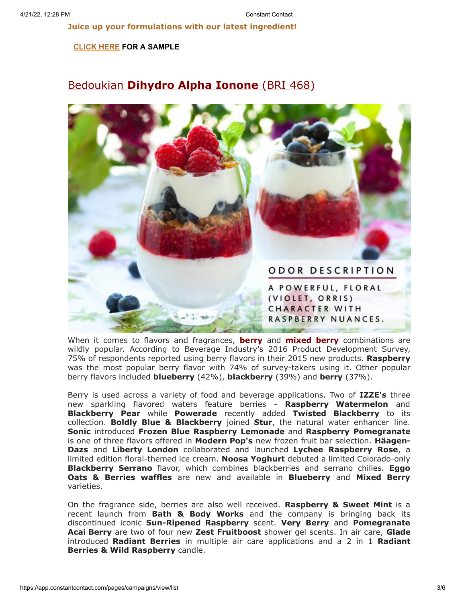**Juice up your formulations with our latest ingredient!**

### **[CLICK](mailto:customerservice@bedoukian.com?subject=Bedoukian%20Bulletin%20-%20Spring%202016&body=Hello%2C%0A%0AI%20would%20like%20to%20request%20free%20samples%20of%20each%20product%20advertised%20in%20the%20Spring%202016%20Bedoukian%20Bulletin!) HERE FOR A SAMPLE**

## Bedoukian **[Dihydro Alpha Ionone](http://search.bedoukian.com/flavorfragrance/ff_product.asp?method=POP&id=468)** (BRI 468)



When it comes to flavors and fragrances, **berry** and **mixed berry** combinations are wildly popular. According to Beverage Industry's 2016 Product Development Survey, 75% of respondents reported using berry flavors in their 2015 new products. **Raspberry** was the most popular berry flavor with 74% of survey-takers using it. Other popular berry flavors included **blueberry** (42%), **blackberry** (39%) and **berry** (37%).

Berry is used across a variety of food and beverage applications. Two of **IZZE's** three new sparkling flavored waters feature berries - **Raspberry Watermelon** and **Blackberry Pear** while **Powerade** recently added **Twisted Blackberry** to its collection. **Boldly Blue & Blackberry** joined **Stur**, the natural water enhancer line. **Sonic** introduced **Frozen Blue Raspberry Lemonade** and **Raspberry Pomegranate** is one of three flavors offered in **Modern Pop's** new frozen fruit bar selection. **Häagen-Dazs** and **Liberty London** collaborated and launched **Lychee Raspberry Rose**, a limited edition floral-themed ice cream. **Noosa Yoghurt** debuted a limited Colorado-only **Blackberry Serrano** flavor, which combines blackberries and serrano chilies. **Eggo Oats & Berries waffles** are new and available in **Blueberry** and **Mixed Berry** varieties.

On the fragrance side, berries are also well received. **Raspberry & Sweet Mint** is a recent launch from **Bath & Body Works** and the company is bringing back its discontinued iconic **Sun-Ripened Raspberry** scent. **Very Berry** and **Pomegranate Acai Berry** are two of four new **Zest Fruitboost** shower gel scents. In air care, **Glade** introduced **Radiant Berries** in multiple air care applications and a 2 in 1 **Radiant Berries & Wild Raspberry** candle.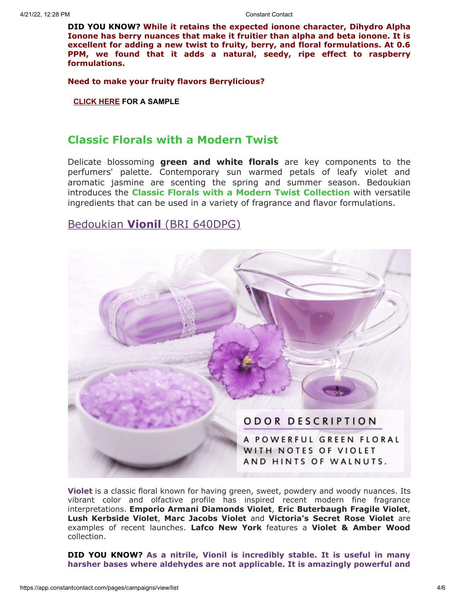**DID YOU KNOW? While it retains the expected ionone character, Dihydro Alpha Ionone has berry nuances that make it fruitier than alpha and beta ionone. It is excellent for adding a new twist to fruity, berry, and floral formulations. At 0.6 PPM, we found that it adds a natural, seedy, ripe effect to raspberry formulations.**

**Need to make your fruity flavors Berrylicious?**

**[CLICK](mailto:customerservice@bedoukian.com?subject=Bedoukian%20Bulletin%20-%20Spring%202016&body=Hello%2C%0A%0AI%20would%20like%20to%20request%20free%20samples%20of%20each%20product%20advertised%20in%20the%20Spring%202016%20Bedoukian%20Bulletin!) HERE FOR A SAMPLE**

### **Classic Florals with a Modern Twist**

Delicate blossoming **green and white florals** are key components to the perfumers' palette. Contemporary sun warmed petals of leafy violet and aromatic jasmine are scenting the spring and summer season. Bedoukian introduces the **Classic Florals with a Modern Twist Collection** with versatile ingredients that can be used in a variety of fragrance and flavor formulations.

# Bedoukian **[Vionil](http://search.bedoukian.com/flavorfragrance/ff_product.asp?method=POP&id=640DPG)** (BRI 640DPG)



**Violet** is a classic floral known for having green, sweet, powdery and woody nuances. Its vibrant color and olfactive profile has inspired recent modern fine fragrance interpretations. **Emporio Armani Diamonds Violet**, **Eric Buterbaugh Fragile Violet**, **Lush Kerbside Violet**, **Marc Jacobs Violet** and **Victoria's Secret Rose Violet** are examples of recent launches. **Lafco New York** features a **Violet & Amber Wood** collection.

**DID YOU KNOW? As a nitrile, Vionil is incredibly stable. It is useful in many harsher bases where aldehydes are not applicable. It is amazingly powerful and**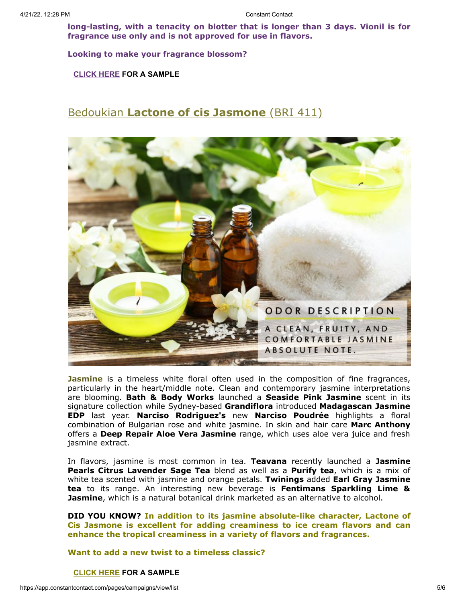**long-lasting, with a tenacity on blotter that is longer than 3 days. Vionil is for fragrance use only and is not approved for use in flavors.**

**Looking to make your fragrance blossom?**

**[CLICK](mailto:customerservice@bedoukian.com?subject=Bedoukian%20Bulletin%20-%20Spring%202016&body=Hello%2C%0A%0AI%20would%20like%20to%20request%20free%20samples%20of%20each%20product%20advertised%20in%20the%20Spring%202016%20Bedoukian%20Bulletin!) HERE FOR A SAMPLE**

## [Bedoukian](http://bedoukian.com/products/product.asp?id=410) **[Lactone of cis Jasmone](http://search.bedoukian.com/flavorfragrance/ff_product.asp?method=POP&id=411)** (BRI 411)



**Jasmine** is a timeless white floral often used in the composition of fine fragrances, particularly in the heart/middle note. Clean and contemporary jasmine interpretations are blooming. **Bath & Body Works** launched a **Seaside Pink Jasmine** scent in its signature collection while Sydney-based **Grandiflora** introduced **Madagascan Jasmine EDP** last year. **Narciso Rodriguez's** new **Narciso Poudrée** highlights a floral combination of Bulgarian rose and white jasmine. In skin and hair care **Marc Anthony** offers a **Deep Repair Aloe Vera Jasmine** range, which uses aloe vera juice and fresh jasmine extract.

In flavors, jasmine is most common in tea. **Teavana** recently launched a **Jasmine Pearls Citrus Lavender Sage Tea** blend as well as a **Purify tea**, which is a mix of white tea scented with jasmine and orange petals. **Twinings** added **Earl Gray Jasmine tea** to its range. An interesting new beverage is **Fentimans Sparkling Lime & Jasmine**, which is a natural botanical drink marketed as an alternative to alcohol.

**DID YOU KNOW? In addition to its jasmine absolute-like character, Lactone of Cis Jasmone is excellent for adding creaminess to ice cream flavors and can enhance the tropical creaminess in a variety of flavors and fragrances.**

**Want to add a new twist to a timeless classic?**

#### **[CLICK](mailto:customerservice@bedoukian.com?subject=Bedoukian%20Bulletin%20-%20Spring%202016&body=Hello%2C%0A%0AI%20would%20like%20to%20request%20free%20samples%20of%20each%20product%20advertised%20in%20the%20Spring%202016%20Bedoukian%20Bulletin!) HERE FOR A SAMPLE**